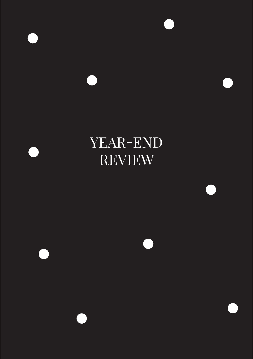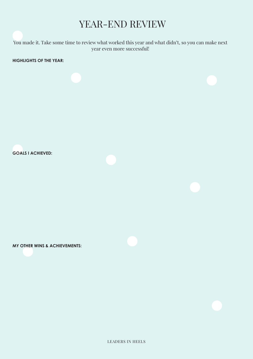You made it. Take some time to review what worked this year and what didn't, so you can make next year even more successful!

**HIGHLIGHTS OF THE YEAR:**

**GOALS I ACHIEVED:**

**MY OTHER WINS & ACHIEVEMENTS:**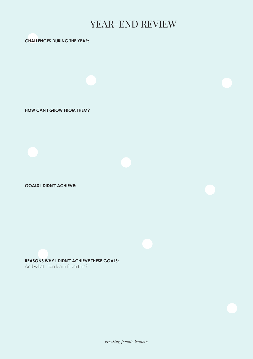### **CHALLENGES DURING THE YEAR:**

**HOW CAN I GROW FROM THEM?**

**GOALS I DIDN'T ACHIEVE:**

**REASONS WHY I DIDN'T ACHIEVE THESE GOALS:**

And what I can learn from this?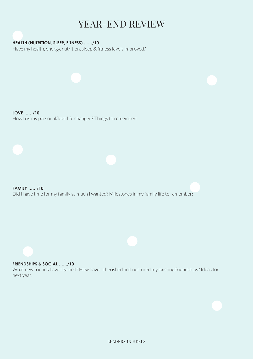## **HEALTH (NUTRITION, SLEEP, FITNESS) ……/10**

Have my health, energy, nutrition, sleep & fitness levels improved?

**LOVE ……/10** How has my personal/love life changed? Things to remember:

**FAMILY ……/10** Did I have time for my family as much I wanted? Milestones in my family life to remember:

### **FRIENDSHIPS & SOCIAL ……/10**

What new friends have I gained? How have I cherished and nurtured my existing friendships? Ideas for next year: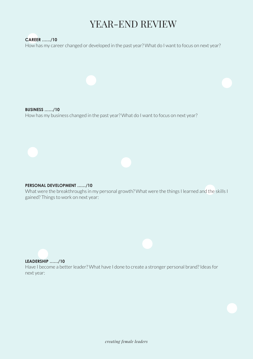## **CAREER ……/10**

How has my career changed or developed in the past year? What do I want to focus on next year?

**BUSINESS ……/10** How has my business changed in the past year? What do I want to focus on next year?

### **PERSONAL DEVELOPMENT ……/10**

What were the breakthroughs in my personal growth? What were the things I learned and the skills I gained? Things to work on next year:

#### **LEADERSHIP ……/10**

Have I become a better leader? What have I done to create a stronger personal brand? Ideas for next year: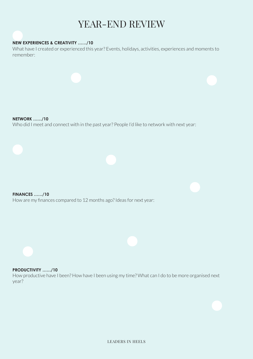### **NEW EXPERIENCES & CREATIVITY ……/10**

What have I created or experienced this year? Events, holidays, activities, experiences and moments to remember:

**NETWORK ……/10** Who did I meet and connect with in the past year? People I'd like to network with next year:

**FINANCES ……/10** How are my finances compared to 12 months ago? Ideas for next year:

### **PRODUCTIVITY ……/10**

How productive have I been? How have I been using my time? What can I do to be more organised next year?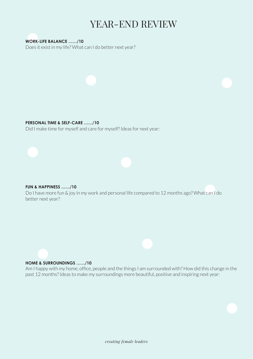**WORK-LIFE BALANCE ……/10** Does it exist in my life? What can I do better next year?

### **PERSONAL TIME & SELF-CARE ……/10**

Did I make time for myself and care for myself? Ideas for next year:

## **FUN & HAPPINESS ……/10**

Do I have more fun & joy in my work and personal life compared to 12 months ago? What can I do better next year?

### **HOME & SURROUNDINGS ……/10**

Am I happy with my home, office, people and the things I am surrounded with? How did this change in the past 12 months? Ideas to make my surroundings more beautiful, positive and inspiring next year: